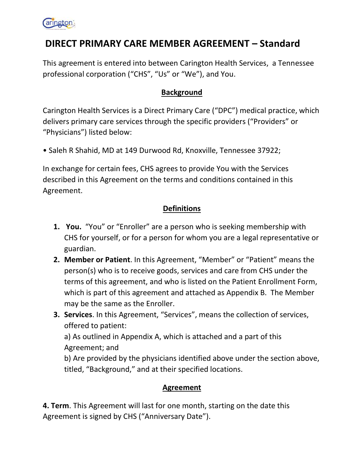# DIRECT PRIMARY CARE MEMBER AGREEMENT – Standard

This agreement is entered into between Carington Health Services, a Tennessee professional corporation ("CHS", "Us" or "We"), and You.

## **Background**

Carington Health Services is a Direct Primary Care ("DPC") medical practice, which delivers primary care services through the specific providers ("Providers" or "Physicians") listed below:

• Saleh R Shahid, MD at 149 Durwood Rd, Knoxville, Tennessee 37922;

In exchange for certain fees, CHS agrees to provide You with the Services described in this Agreement on the terms and conditions contained in this Agreement.

## **Definitions**

- **1. You.** "You" or "Enroller" are a person who is seeking membership with CHS for yourself, or for a person for whom you are a legal representative or guardian.
- 2. Member or Patient. In this Agreement, "Member" or "Patient" means the person(s) who is to receive goods, services and care from CHS under the terms of this agreement, and who is listed on the Patient Enrollment Form, which is part of this agreement and attached as Appendix B. The Member may be the same as the Enroller.
- **3. Services**. In this Agreement, "Services", means the collection of services, offered to patient:

a) As outlined in Appendix A, which is attached and a part of this Agreement; and

b) Are provided by the physicians identified above under the section above, titled, "Background," and at their specified locations.

### Agreement

4. Term. This Agreement will last for one month, starting on the date this Agreement is signed by CHS ("Anniversary Date").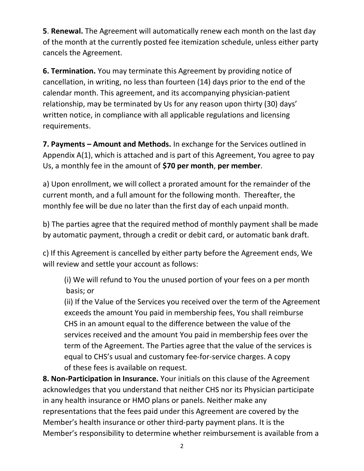5. Renewal. The Agreement will automatically renew each month on the last day of the month at the currently posted fee itemization schedule, unless either party cancels the Agreement.

6. Termination. You may terminate this Agreement by providing notice of cancellation, in writing, no less than fourteen (14) days prior to the end of the calendar month. This agreement, and its accompanying physician-patient relationship, may be terminated by Us for any reason upon thirty (30) days' written notice, in compliance with all applicable regulations and licensing requirements.

7. Payments – Amount and Methods. In exchange for the Services outlined in Appendix A(1), which is attached and is part of this Agreement, You agree to pay Us, a monthly fee in the amount of \$70 per month, per member.

a) Upon enrollment, we will collect a prorated amount for the remainder of the current month, and a full amount for the following month. Thereafter, the monthly fee will be due no later than the first day of each unpaid month.

b) The parties agree that the required method of monthly payment shall be made by automatic payment, through a credit or debit card, or automatic bank draft.

c) If this Agreement is cancelled by either party before the Agreement ends, We will review and settle your account as follows:

(i) We will refund to You the unused portion of your fees on a per month basis; or

(ii) If the Value of the Services you received over the term of the Agreement exceeds the amount You paid in membership fees, You shall reimburse CHS in an amount equal to the difference between the value of the services received and the amount You paid in membership fees over the term of the Agreement. The Parties agree that the value of the services is equal to CHS's usual and customary fee-for-service charges. A copy of these fees is available on request.

8. Non-Participation in Insurance. Your initials on this clause of the Agreement acknowledges that you understand that neither CHS nor its Physician participate in any health insurance or HMO plans or panels. Neither make any representations that the fees paid under this Agreement are covered by the Member's health insurance or other third-party payment plans. It is the Member's responsibility to determine whether reimbursement is available from a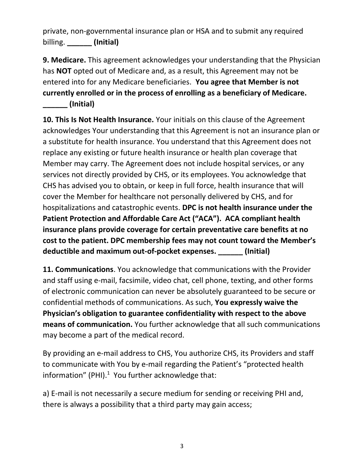private, non-governmental insurance plan or HSA and to submit any required billing. \_\_\_\_\_\_\_\_ (Initial)

9. Medicare. This agreement acknowledges your understanding that the Physician has NOT opted out of Medicare and, as a result, this Agreement may not be entered into for any Medicare beneficiaries. You agree that Member is not currently enrolled or in the process of enrolling as a beneficiary of Medicare. \_\_\_\_\_\_ (Initial)

10. This Is Not Health Insurance. Your initials on this clause of the Agreement acknowledges Your understanding that this Agreement is not an insurance plan or a substitute for health insurance. You understand that this Agreement does not replace any existing or future health insurance or health plan coverage that Member may carry. The Agreement does not include hospital services, or any services not directly provided by CHS, or its employees. You acknowledge that CHS has advised you to obtain, or keep in full force, health insurance that will cover the Member for healthcare not personally delivered by CHS, and for hospitalizations and catastrophic events. DPC is not health insurance under the Patient Protection and Affordable Care Act ("ACA"). ACA compliant health insurance plans provide coverage for certain preventative care benefits at no cost to the patient. DPC membership fees may not count toward the Member's deductible and maximum out-of-pocket expenses. \_\_\_\_\_\_ (Initial)

11. Communications. You acknowledge that communications with the Provider and staff using e-mail, facsimile, video chat, cell phone, texting, and other forms of electronic communication can never be absolutely guaranteed to be secure or confidential methods of communications. As such, You expressly waive the Physician's obligation to guarantee confidentiality with respect to the above means of communication. You further acknowledge that all such communications may become a part of the medical record.

By providing an e-mail address to CHS, You authorize CHS, its Providers and staff to communicate with You by e-mail regarding the Patient's "protected health information" (PHI). $1$  You further acknowledge that:

a) E-mail is not necessarily a secure medium for sending or receiving PHI and, there is always a possibility that a third party may gain access;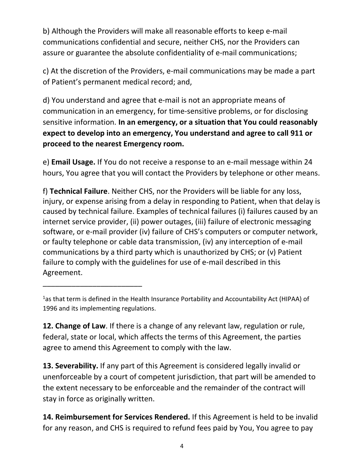b) Although the Providers will make all reasonable efforts to keep e-mail communications confidential and secure, neither CHS, nor the Providers can assure or guarantee the absolute confidentiality of e-mail communications;

c) At the discretion of the Providers, e-mail communications may be made a part of Patient's permanent medical record; and,

d) You understand and agree that e-mail is not an appropriate means of communication in an emergency, for time-sensitive problems, or for disclosing sensitive information. In an emergency, or a situation that You could reasonably expect to develop into an emergency, You understand and agree to call 911 or proceed to the nearest Emergency room.

e) Email Usage. If You do not receive a response to an e-mail message within 24 hours, You agree that you will contact the Providers by telephone or other means.

f) Technical Failure. Neither CHS, nor the Providers will be liable for any loss, injury, or expense arising from a delay in responding to Patient, when that delay is caused by technical failure. Examples of technical failures (i) failures caused by an internet service provider, (ii) power outages, (iii) failure of electronic messaging software, or e-mail provider (iv) failure of CHS's computers or computer network, or faulty telephone or cable data transmission, (iv) any interception of e-mail communications by a third party which is unauthorized by CHS; or (v) Patient failure to comply with the guidelines for use of e-mail described in this Agreement.

\_\_\_\_\_\_\_\_\_\_\_\_\_\_\_\_\_\_\_\_\_\_\_\_

12. Change of Law. If there is a change of any relevant law, regulation or rule, federal, state or local, which affects the terms of this Agreement, the parties agree to amend this Agreement to comply with the law.

13. Severability. If any part of this Agreement is considered legally invalid or unenforceable by a court of competent jurisdiction, that part will be amended to the extent necessary to be enforceable and the remainder of the contract will stay in force as originally written.

14. Reimbursement for Services Rendered. If this Agreement is held to be invalid for any reason, and CHS is required to refund fees paid by You, You agree to pay

<sup>1</sup>as that term is defined in the Health Insurance Portability and Accountability Act (HIPAA) of 1996 and its implementing regulations.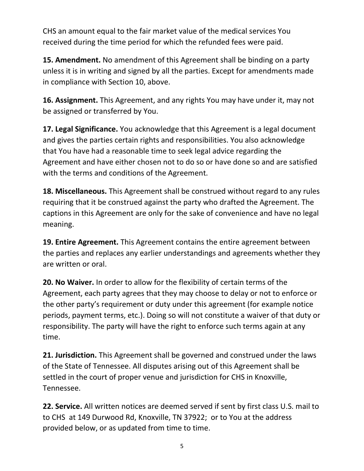CHS an amount equal to the fair market value of the medical services You received during the time period for which the refunded fees were paid.

15. Amendment. No amendment of this Agreement shall be binding on a party unless it is in writing and signed by all the parties. Except for amendments made in compliance with Section 10, above.

16. Assignment. This Agreement, and any rights You may have under it, may not be assigned or transferred by You.

17. Legal Significance. You acknowledge that this Agreement is a legal document and gives the parties certain rights and responsibilities. You also acknowledge that You have had a reasonable time to seek legal advice regarding the Agreement and have either chosen not to do so or have done so and are satisfied with the terms and conditions of the Agreement.

18. Miscellaneous. This Agreement shall be construed without regard to any rules requiring that it be construed against the party who drafted the Agreement. The captions in this Agreement are only for the sake of convenience and have no legal meaning.

19. Entire Agreement. This Agreement contains the entire agreement between the parties and replaces any earlier understandings and agreements whether they are written or oral.

20. No Waiver. In order to allow for the flexibility of certain terms of the Agreement, each party agrees that they may choose to delay or not to enforce or the other party's requirement or duty under this agreement (for example notice periods, payment terms, etc.). Doing so will not constitute a waiver of that duty or responsibility. The party will have the right to enforce such terms again at any time.

21. Jurisdiction. This Agreement shall be governed and construed under the laws of the State of Tennessee. All disputes arising out of this Agreement shall be settled in the court of proper venue and jurisdiction for CHS in Knoxville, Tennessee.

22. Service. All written notices are deemed served if sent by first class U.S. mail to to CHS at 149 Durwood Rd, Knoxville, TN 37922; or to You at the address provided below, or as updated from time to time.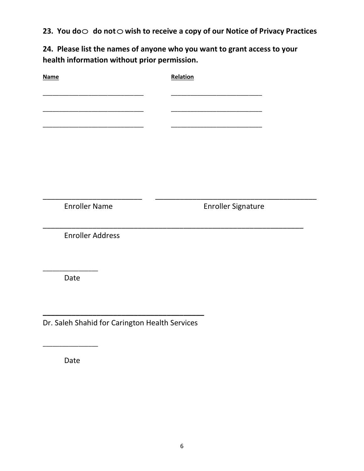23. You do  $\odot$  do not  $\odot$  wish to receive a copy of our Notice of Privacy Practices

24. Please list the names of anyone who you want to grant access to your health information without prior permission.

| <b>Name</b>                                    | Relation                  |
|------------------------------------------------|---------------------------|
|                                                |                           |
|                                                |                           |
|                                                |                           |
|                                                |                           |
|                                                |                           |
|                                                |                           |
|                                                |                           |
|                                                |                           |
|                                                |                           |
| <b>Enroller Name</b>                           | <b>Enroller Signature</b> |
|                                                |                           |
| <b>Enroller Address</b>                        |                           |
|                                                |                           |
|                                                |                           |
| Date                                           |                           |
|                                                |                           |
|                                                |                           |
|                                                |                           |
| Dr. Saleh Shahid for Carington Health Services |                           |
|                                                |                           |

Date

\_\_\_\_\_\_\_\_\_\_\_\_\_\_\_\_\_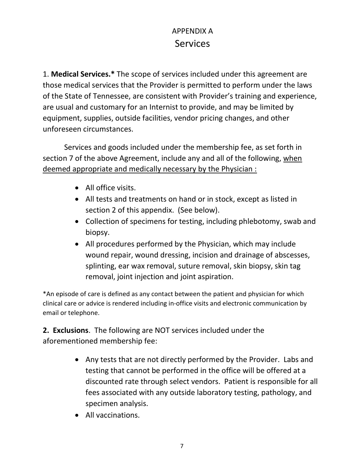# APPENDIX A Services

1. Medical Services.\* The scope of services included under this agreement are those medical services that the Provider is permitted to perform under the laws of the State of Tennessee, are consistent with Provider's training and experience, are usual and customary for an Internist to provide, and may be limited by equipment, supplies, outside facilities, vendor pricing changes, and other unforeseen circumstances.

Services and goods included under the membership fee, as set forth in section 7 of the above Agreement, include any and all of the following, when deemed appropriate and medically necessary by the Physician :

- All office visits.
- All tests and treatments on hand or in stock, except as listed in section 2 of this appendix. (See below).
- Collection of specimens for testing, including phlebotomy, swab and biopsy.
- All procedures performed by the Physician, which may include wound repair, wound dressing, incision and drainage of abscesses, splinting, ear wax removal, suture removal, skin biopsy, skin tag removal, joint injection and joint aspiration.

\*An episode of care is defined as any contact between the patient and physician for which clinical care or advice is rendered including in-office visits and electronic communication by email or telephone.

2. Exclusions. The following are NOT services included under the aforementioned membership fee:

- Any tests that are not directly performed by the Provider. Labs and testing that cannot be performed in the office will be offered at a discounted rate through select vendors. Patient is responsible for all fees associated with any outside laboratory testing, pathology, and specimen analysis.
- All vaccinations.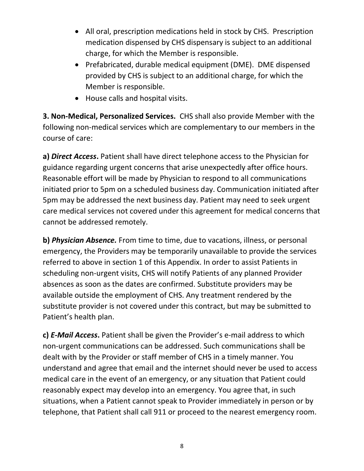- All oral, prescription medications held in stock by CHS. Prescription medication dispensed by CHS dispensary is subject to an additional charge, for which the Member is responsible.
- Prefabricated, durable medical equipment (DME). DME dispensed provided by CHS is subject to an additional charge, for which the Member is responsible.
- House calls and hospital visits.

3. Non-Medical, Personalized Services. CHS shall also provide Member with the following non-medical services which are complementary to our members in the course of care:

a) Direct Access. Patient shall have direct telephone access to the Physician for guidance regarding urgent concerns that arise unexpectedly after office hours. Reasonable effort will be made by Physician to respond to all communications initiated prior to 5pm on a scheduled business day. Communication initiated after 5pm may be addressed the next business day. Patient may need to seek urgent care medical services not covered under this agreement for medical concerns that cannot be addressed remotely.

b) Physician Absence. From time to time, due to vacations, illness, or personal emergency, the Providers may be temporarily unavailable to provide the services referred to above in section 1 of this Appendix. In order to assist Patients in scheduling non-urgent visits, CHS will notify Patients of any planned Provider absences as soon as the dates are confirmed. Substitute providers may be available outside the employment of CHS. Any treatment rendered by the substitute provider is not covered under this contract, but may be submitted to Patient's health plan.

c) E-Mail Access. Patient shall be given the Provider's e-mail address to which non-urgent communications can be addressed. Such communications shall be dealt with by the Provider or staff member of CHS in a timely manner. You understand and agree that email and the internet should never be used to access medical care in the event of an emergency, or any situation that Patient could reasonably expect may develop into an emergency. You agree that, in such situations, when a Patient cannot speak to Provider immediately in person or by telephone, that Patient shall call 911 or proceed to the nearest emergency room.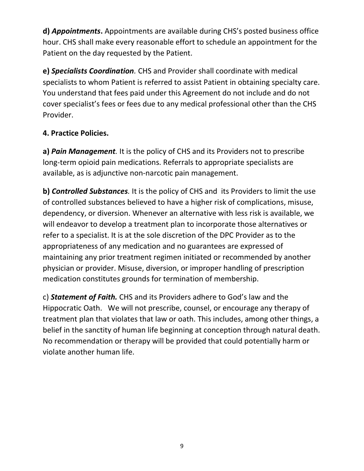d) Appointments. Appointments are available during CHS's posted business office hour. CHS shall make every reasonable effort to schedule an appointment for the Patient on the day requested by the Patient.

e) Specialists Coordination. CHS and Provider shall coordinate with medical specialists to whom Patient is referred to assist Patient in obtaining specialty care. You understand that fees paid under this Agreement do not include and do not cover specialist's fees or fees due to any medical professional other than the CHS Provider.

## 4. Practice Policies.

a) Pain Management. It is the policy of CHS and its Providers not to prescribe long-term opioid pain medications. Referrals to appropriate specialists are available, as is adjunctive non-narcotic pain management.

b) Controlled Substances. It is the policy of CHS and its Providers to limit the use of controlled substances believed to have a higher risk of complications, misuse, dependency, or diversion. Whenever an alternative with less risk is available, we will endeavor to develop a treatment plan to incorporate those alternatives or refer to a specialist. It is at the sole discretion of the DPC Provider as to the appropriateness of any medication and no guarantees are expressed of maintaining any prior treatment regimen initiated or recommended by another physician or provider. Misuse, diversion, or improper handling of prescription medication constitutes grounds for termination of membership.

c) Statement of Faith. CHS and its Providers adhere to God's law and the Hippocratic Oath. We will not prescribe, counsel, or encourage any therapy of treatment plan that violates that law or oath. This includes, among other things, a belief in the sanctity of human life beginning at conception through natural death. No recommendation or therapy will be provided that could potentially harm or violate another human life.